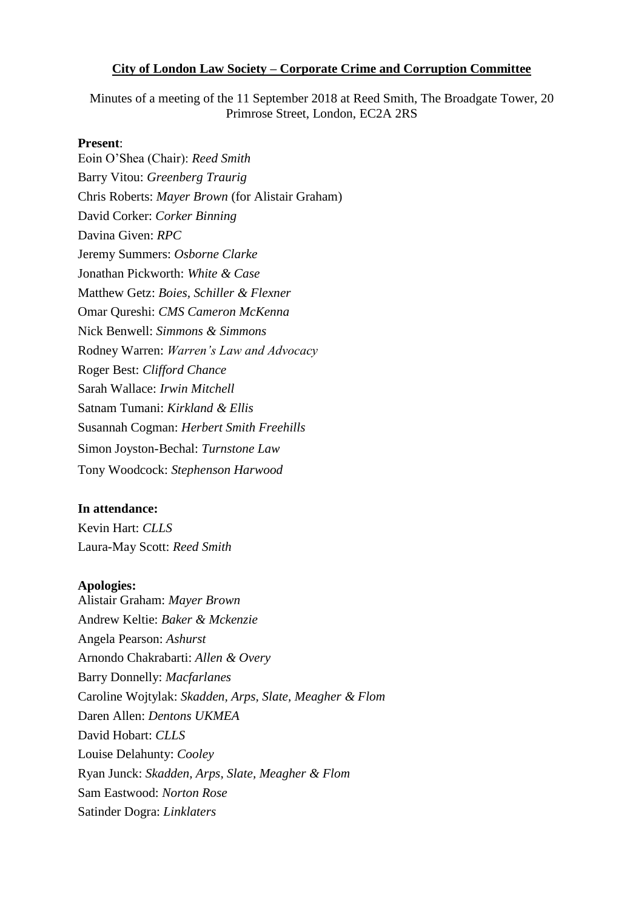#### **City of London Law Society – Corporate Crime and Corruption Committee**

Minutes of a meeting of the 11 September 2018 at Reed Smith, The Broadgate Tower, 20 Primrose Street, London, EC2A 2RS

#### **Present**:

Eoin O'Shea (Chair): *Reed Smith* Barry Vitou: *Greenberg Traurig* Chris Roberts: *Mayer Brown* (for Alistair Graham) David Corker: *Corker Binning* Davina Given: *RPC* Jeremy Summers: *Osborne Clarke* Jonathan Pickworth: *White & Case* Matthew Getz: *Boies, Schiller & Flexner* Omar Qureshi: *CMS Cameron McKenna*  Nick Benwell: *Simmons & Simmons* Rodney Warren: *Warren's Law and Advocacy*  Roger Best: *Clifford Chance*  Sarah Wallace: *Irwin Mitchell* Satnam Tumani: *Kirkland & Ellis* Susannah Cogman: *Herbert Smith Freehills*  Simon Joyston-Bechal: *Turnstone Law* Tony Woodcock: *Stephenson Harwood*

#### **In attendance:**

Kevin Hart: *CLLS* Laura-May Scott: *Reed Smith*

#### **Apologies:**

Alistair Graham: *Mayer Brown* Andrew Keltie: *Baker & Mckenzie* Angela Pearson: *Ashurst* Arnondo Chakrabarti: *Allen & Overy* Barry Donnelly: *Macfarlanes* Caroline Wojtylak: *Skadden, Arps, Slate, Meagher & Flom* Daren Allen: *Dentons UKMEA*  David Hobart: *CLLS* Louise Delahunty: *Cooley* Ryan Junck: *Skadden, Arps, Slate, Meagher & Flom* Sam Eastwood: *Norton Rose* Satinder Dogra: *Linklaters*